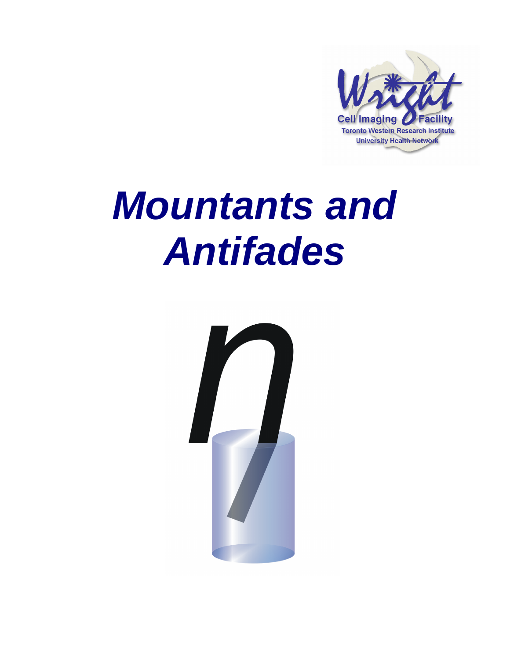

# **Mountants and Antifades**

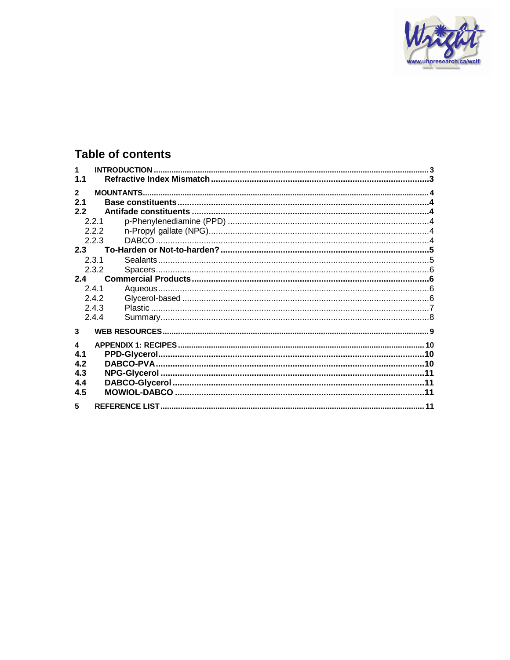

# **Table of contents**

| $\blacktriangleleft$ |       |  |
|----------------------|-------|--|
| 1.1                  |       |  |
| $\mathbf{2}$         |       |  |
| 2.1                  |       |  |
| 2.2                  |       |  |
|                      | 221   |  |
|                      | 2.2.2 |  |
|                      | 2.2.3 |  |
| 2.3                  |       |  |
|                      | 2.3.1 |  |
|                      | 2.3.2 |  |
| 2.4                  |       |  |
|                      | 2.4.1 |  |
|                      | 2.4.2 |  |
|                      | 2.4.3 |  |
|                      | 2.4.4 |  |
|                      |       |  |
| 3                    |       |  |
| 4                    |       |  |
| 4.1                  |       |  |
| 4.2                  |       |  |
| 4.3                  |       |  |
| 4.4                  |       |  |
| 4.5                  |       |  |
|                      |       |  |
| 5                    |       |  |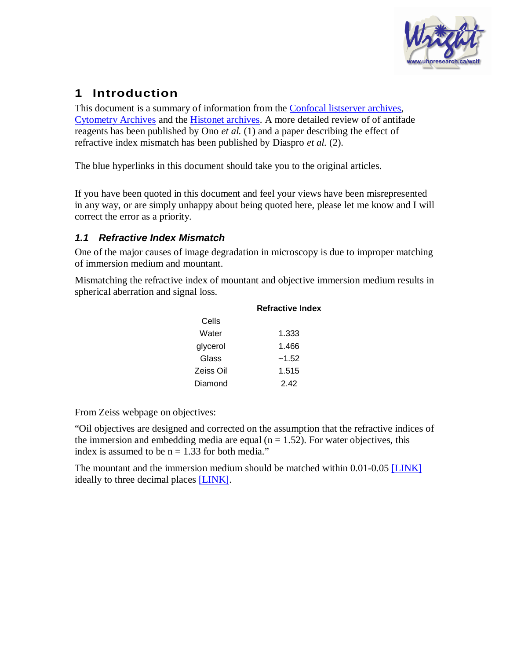

# **1 Introduction**

This document is a summary of information from the [Confocal listserver archives,](http://listserv.buffalo.edu/cgi-bin/wa?S1=confocal) [Cytometry Archives](http://www.cyto.purdue.edu/hmarchiv/cytomail.htm) and the [Histonet archives](http://www.histosearch.com/histonet.html). A more detailed review of of antifade reagents has been published by Ono *et al.* (1) and a paper describing the effect of refractive index mismatch has been published by Diaspro *et al.* (2).

The blue hyperlinks in this document should take you to the original articles.

If you have been quoted in this document and feel your views have been misrepresented in any way, or are simply unhappy about being quoted here, please let me know and I will correct the error as a priority.

## **1.1 Refractive Index Mismatch**

One of the major causes of image degradation in microscopy is due to improper matching of immersion medium and mountant.

Mismatching the refractive index of mountant and objective immersion medium results in spherical aberration and signal loss.

|           | <b>Refractive Index</b> |  |  |  |  |
|-----------|-------------------------|--|--|--|--|
| Cells     |                         |  |  |  |  |
| Water     | 1.333                   |  |  |  |  |
| glycerol  | 1.466                   |  |  |  |  |
| Glass     | $-1.52$                 |  |  |  |  |
| Zeiss Oil | 1.515                   |  |  |  |  |
| Diamond   | 242                     |  |  |  |  |

From Zeiss webpage on objectives:

"Oil objectives are designed and corrected on the assumption that the refractive indices of the immersion and embedding media are equal ( $n = 1.52$ ). For water objectives, this index is assumed to be  $n = 1.33$  for both media."

The mountant and the immersion medium should be matched within 0.01-0.05 [\[LINK\]](http://listserv.buffalo.edu/cgi-bin/wa?A2=ind0304&L=confocal&P=R12013&I=-3) ideally to three decimal places [\[LINK\]](http://listserv.buffalo.edu/cgi-bin/wa?A2=ind9710&L=confocal&P=R5745&I=-3).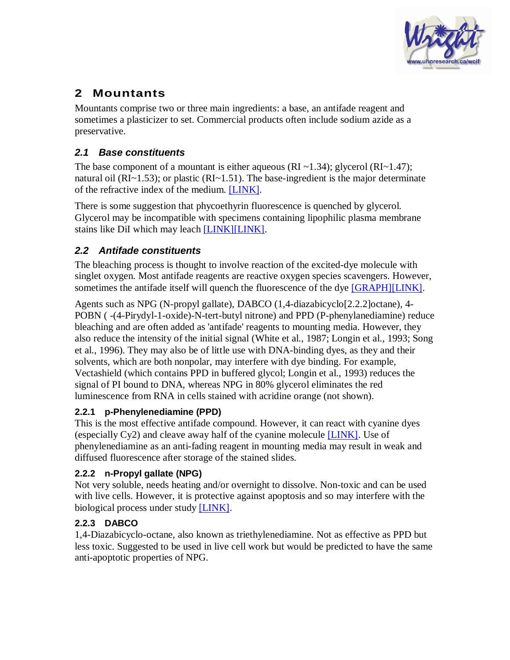

# **2 Mountants**

Mountants comprise two or three main ingredients: a base, an antifade reagent and sometimes a plasticizer to set. Commercial products often include sodium azide as a preservative.

# **2.1 Base constituents**

The base component of a mountant is either aqueous (RI ~1.34); glycerol (RI ~1.47); natural oil (RI~1.53); or plastic (RI~1.51). The base-ingredient is the major determinate of the refractive index of the medium. [\[LINK\].](http://listserv.buffalo.edu/cgi-bin/wa?A2=ind0101&L=confocal&P=R4606&I=-3)

There is some suggestion that phycoethyrin fluorescence is quenched by glycerol. Glycerol may be incompatible with specimens containing lipophilic plasma membrane stains like DiI which may leach [\[LINK\]](http://listserv.buffalo.edu/cgi-bin/wa?A2=ind9906&L=confocal&P=R853&I=-3)[\[LINK\].](http://listserv.buffalo.edu/cgi-bin/wa?A2=ind0205&L=confocal&P=R13708&I=-3)

# **2.2 Antifade constituents**

The bleaching process is thought to involve reaction of the excited-dye molecule with singlet oxygen. Most antifade reagents are reactive oxygen species scavengers. However, sometimes the antifade itself will quench the fluorescence of the dye [\[GRAPH\]](http://www.probes.com/lit/bioprobes23/figure5.html)[\[LINK\].](http://www.histosearch.com/histonet/Apr99/Re.GFP.mountingmedia.html)

Agents such as NPG (N-propyl gallate), DABCO (1,4-diazabicyclo[2.2.2]octane), 4- POBN ( -(4-Pirydyl-1-oxide)-N-tert-butyl nitrone) and PPD (P-phenylanediamine) reduce bleaching and are often added as 'antifade' reagents to mounting media. However, they also reduce the intensity of the initial signal (White et al., 1987; Longin et al., 1993; Song et al., 1996). They may also be of little use with DNA-binding dyes, as they and their solvents, which are both nonpolar, may interfere with dye binding. For example, Vectashield (which contains PPD in buffered glycol; Longin et al., 1993) reduces the signal of PI bound to DNA, whereas NPG in 80% glycerol eliminates the red luminescence from RNA in cells stained with acridine orange (not shown).

#### **2.2.1 p-Phenylenediamine (PPD)**

This is the most effective antifade compound. However, it can react with cyanine dyes (especially  $Cy2$ ) and cleave away half of the cyanine molecule  $[LINK]$ . Use of phenylenediamine as an anti-fading reagent in mounting media may result in weak and diffused fluorescence after storage of the stained slides.

# **2.2.2 n-Propyl gallate (NPG)**

Not very soluble, needs heating and/or overnight to dissolve. Non-toxic and can be used with live cells. However, it is protective against apoptosis and so may interfere with the biological process under study [\[LINK\].](http://www.ncbi.nlm.nih.gov/entrez/query.fcgi?cmd=Retrieve&db=pubmed&dopt=Abstract&list_uids=10553065)

# **2.2.3 DABCO**

1,4-Diazabicyclo-octane, also known as triethylenediamine. Not as effective as PPD but less toxic. Suggested to be used in live cell work but would be predicted to have the same anti-apoptotic properties of NPG.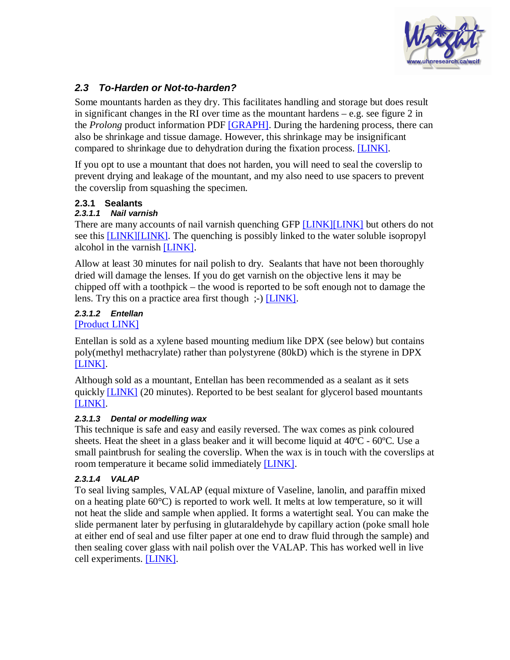

## **2.3 To-Harden or Not-to-harden?**

Some mountants harden as they dry. This facilitates handling and storage but does result in significant changes in the RI over time as the mountant hardens  $-e.g.$  see figure 2 in the *Prolong* product information PDF [\[GRAPH\]](http://www.probes.com/media/pis/mp36930.pdf). During the hardening process, there can also be shrinkage and tissue damage. However, this shrinkage may be insignificant compared to shrinkage due to dehydration during the fixation process. [\[LINK\].](http://listserv.buffalo.edu/cgi-bin/wa?A2=ind0312&L=confocal&P=R1414&I=-3)

If you opt to use a mountant that does not harden, you will need to seal the coverslip to prevent drying and leakage of the mountant, and my also need to use spacers to prevent the coverslip from squashing the specimen.

#### **2.3.1 Sealants**

#### **2.3.1.1 Nail varnish**

There are many accounts of nail varnish quenching GFP [\[LINK\]](http://listserv.buffalo.edu/cgi-bin/wa?A2=ind0203&L=confocal&D=0&I=-3&P=4935)[\[LINK\]](http://listserv.buffalo.edu/cgi-bin/wa?A2=ind0203&L=confocal&D=0&I=-3&P=5037) but others do not see this [\[LINK\]](http://listserv.buffalo.edu/cgi-bin/wa?A2=ind0203&L=confocal&D=0&I=-3&P=5227)[\[LINK\].](http://listserv.buffalo.edu/cgi-bin/wa?A2=ind0203&L=confocal&D=0&I=-3&P=5801) The quenching is possibly linked to the water soluble isopropyl alcohol in the varnish [\[LINK\]](http://listserv.buffalo.edu/cgi-bin/wa?A2=ind0308&L=confocal&P=R4733&I=-3).

Allow at least 30 minutes for nail polish to dry. Sealants that have not been thoroughly dried will damage the lenses. If you do get varnish on the objective lens it may be chipped off with a toothpick – the wood is reported to be soft enough not to damage the lens. Try this on a practice area first though ;-) [\[LINK\].](http://listserv.buffalo.edu/cgi-bin/wa?A2=ind0108&L=confocal&P=R3517&I=-3)

#### **2.3.1.2 Entellan**  [\[Product LINK\]](http://www.proscitech.com.au/catalogue/notes/im022.htm)

Entellan is sold as a xylene based mounting medium like DPX (see below) but contains poly(methyl methacrylate) rather than polystyrene (80kD) which is the styrene in DPX [\[LINK\]](http://www.histosearch.com/histonet/May00A/RE.coverslippingDPXetc.html).

Although sold as a mountant, Entellan has been recommended as a sealant as it sets quickly [\[LINK\]](http://listserv.buffalo.edu/cgi-bin/wa?A2=ind0205&L=confocal&P=R13708&I=-3) (20 minutes). Reported to be best sealant for glycerol based mountants [\[LINK\]](http://listserv.buffalo.edu/cgi-bin/wa?A2=ind0107&L=confocal&P=R314&I=-3).

#### **2.3.1.3 Dental or modelling wax**

This technique is safe and easy and easily reversed. The wax comes as pink coloured sheets. Heat the sheet in a glass beaker and it will become liquid at  $40^{\circ}C - 60^{\circ}C$ . Use a small paintbrush for sealing the coverslip. When the wax is in touch with the coverslips at room temperature it became solid immediately [\[LINK\].](http://listserv.buffalo.edu/cgi-bin/wa?A2=ind0402&L=confocal&P=R4090&I=-3)

#### **2.3.1.4 VALAP**

To seal living samples, VALAP (equal mixture of Vaseline, lanolin, and paraffin mixed on a heating plate  $60^{\circ}$ C) is reported to work well. It melts at low temperature, so it will not heat the slide and sample when applied. It forms a watertight seal. You can make the slide permanent later by perfusing in glutaraldehyde by capillary action (poke small hole at either end of seal and use filter paper at one end to draw fluid through the sample) and then sealing cover glass with nail polish over the VALAP. This has worked well in live cell experiments. [\[LINK\].](http://listserv.buffalo.edu/cgi-bin/wa?A2=ind0402&L=confocal&P=R3874&I=-3)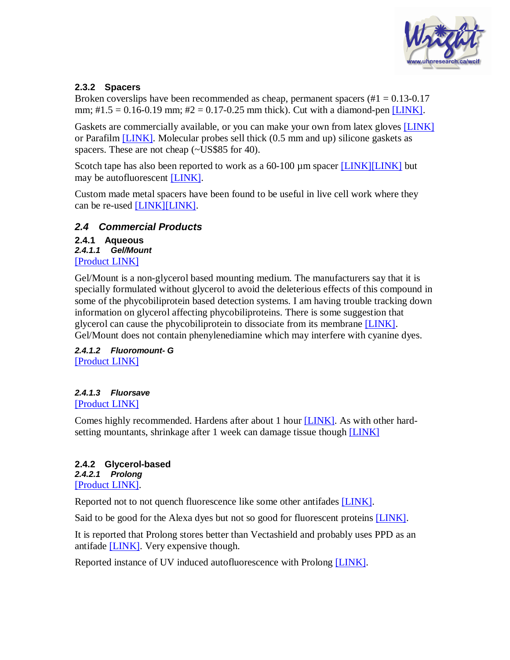

#### **2.3.2 Spacers**

Broken coverslips have been recommended as cheap, permanent spacers  $(\text{#1} = 0.13 \cdot 0.17)$ mm;  $\#1.5 = 0.16 - 0.19$  mm;  $\#2 = 0.17 - 0.25$  mm thick). Cut with a diamond-pen [\[LINK\].](http://listserv.buffalo.edu/cgi-bin/wa?A2=ind9511&L=confocal&P=R890&I=-3)

Gaskets are commercially available, or you can make your own from latex gloves [\[LINK\]](http://listserv.buffalo.edu/cgi-bin/wa?A2=ind9408&L=confocal&P=R127&I=-3) or Parafilm [\[LINK\].](http://listserv.buffalo.edu/cgi-bin/wa?A2=ind9909&L=confocal&P=R2762&I=-3) Molecular probes sell thick (0.5 mm and up) silicone gaskets as spacers. These are not cheap (~US\$85 for 40).

Scotch tape has also been reported to work as a 60-100 µm spacer [\[LINK\]](http://listserv.buffalo.edu/cgi-bin/wa?A2=ind9408&L=confocal&P=R127&I=-3)[\[LINK\]](http://listserv.buffalo.edu/cgi-bin/wa?A2=ind9909&L=confocal&P=R2706&I=-3) but may be autofluorescent [\[LINK\].](http://listserv.buffalo.edu/cgi-bin/wa?A2=ind9511&L=confocal&P=R890&I=-3)

Custom made metal spacers have been found to be useful in live cell work where they can be re-used [\[LINK\]](http://listserv.buffalo.edu/cgi-bin/wa?A2=ind9809&L=confocal&P=R3368&I=-3)[\[LINK\].](http://listserv.buffalo.edu/cgi-bin/wa?A2=ind9506&L=confocal&P=R5964&I=-3)

#### **2.4 Commercial Products**

**2.4.1 Aqueous 2.4.1.1 Gel/Mount**  [\[Product LINK\]](http://biomeda.com/site/M01.pdf)

Gel/Mount is a non-glycerol based mounting medium. The manufacturers say that it is specially formulated without glycerol to avoid the deleterious effects of this compound in some of the phycobiliprotein based detection systems. I am having trouble tracking down information on glycerol affecting phycobiliproteins. There is some suggestion that glycerol can cause the phycobiliprotein to dissociate from its membrane [\[LINK\].](http://www2.warwick.ac.uk/fac/sci/bio/research/margenes/publications/steglich2003.pdf) Gel/Mount does not contain phenylenediamine which may interfere with cyanine dyes.

**2.4.1.2 Fluoromount- G**  [\[Product LINK\]](http://www.emsdiasum.com/microscopy/technical/techdata/85.aspx)

#### **2.4.1.3 Fluorsave**

[\[Product LINK\]](http://www.emdbiosciences.com/product/345789)

Comes highly recommended. Hardens after about 1 hour [\[LINK\].](http://listserv.buffalo.edu/cgi-bin/wa?A2=ind0205&L=confocal&P=R13708&I=-3) As with other hard-setting mountants, shrinkage after 1 week can damage tissue though [\[LINK\]](http://listserv.buffalo.edu/cgi-bin/wa?A2=ind0202&L=confocal&P=R4934&I=-3)

#### **2.4.2 Glycerol-based 2.4.2.1 Prolong**  [\[Product LINK\]](http://www.probes.com/media/pis/mp36930.pdf).

Reported not to not quench fluorescence like some other antifades [\[LINK\].](http://www.histosearch.com/histonet/Apr99/Re.GFP.mountingmedia.html)

Said to be good for the Alexa dyes but not so good for fluorescent proteins [\[LINK\].](http://www.ohsu.edu/research/core/micr/protocols.shtml)

It is reported that Prolong stores better than Vectashield and probably uses PPD as an antifade [\[LINK\]](http://listserv.buffalo.edu/cgi-bin/wa?A2=ind9912&L=confocal&P=R5838&I=-3). Very expensive though.

Reported instance of UV induced autofluorescence with Prolong [\[LINK\].](http://listserv.buffalo.edu/cgi-bin/wa?A2=ind9805&L=confocal&P=R3769&I=-3)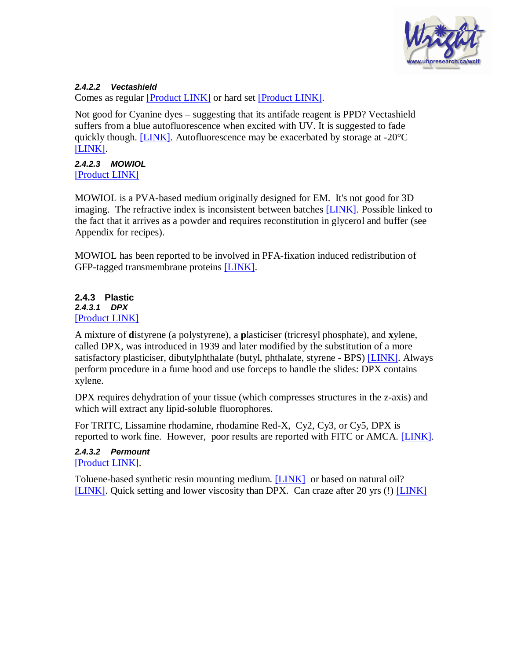

#### **2.4.2.2 Vectashield**

Comes as regular [\[Product LINK\]](http://www.vectorlabs.com/data/descriptions/pdf/H1000.pdf) or hard set [\[Product LINK\].](http://www.vectorlabs.com/data/descriptions/pdf/H1400.pdf)

Not good for Cyanine dyes – suggesting that its antifade reagent is PPD? Vectashield suffers from a blue autofluorescence when excited with UV. It is suggested to fade quickly though.  $[LINK]$ . Autofluorescence may be exacerbated by storage at -20 $^{\circ}$ C [\[LINK\]](http://listserv.buffalo.edu/cgi-bin/wa?A2=ind9912&L=confocal&P=R5838&I=-3).

**2.4.2.3 MOWIOL**  [\[Product LINK\]](http://www.emdbiosciences.com/product/475904)

MOWIOL is a PVA-based medium originally designed for EM. It's not good for 3D imaging. The refractive index is inconsistent between batches [LINK]. Possible linked to the fact that it arrives as a powder and requires reconstitution i[n glycer](http://listserv.buffalo.edu/cgi-bin/wa?A2=ind0202&L=confocal&P=R4934&I=-3)ol and buffer (see Appendix for recipes).

MOWIOL has been reported to be involved in PFA-fixation induced redistribution of GFP-tagged transmembrane proteins [\[LINK\]](http://listserv.buffalo.edu/cgi-bin/wa?A2=ind0308&L=confocal&P=R3528&I=-3).

#### **2.4.3 Plastic 2.4.3.1 DPX**  [\[Product LINK\]](http://www.emsdiasum.com/microscopy/products/histology/mounting_media.aspx)

A mixture of **d**istyrene (a polystyrene), a **p**lasticiser (tricresyl phosphate), and **x**ylene, called DPX, was introduced in 1939 and later modified by the substitution of a more satisfactory plasticiser, dibutylphthalate (butyl, phthalate, styrene - BPS) [\[LINK\].](http://www.emsdiasum.com/microscopy/technical/techdata/20.aspx) Always perform procedure in a fume hood and use forceps to handle the slides: DPX contains xylene.

DPX requires dehydration of your tissue (which compresses structures in the z-axis) and which will extract any lipid-soluble fluorophores.

For TRITC, Lissamine rhodamine, rhodamine Red-X, Cy2, Cy3, or Cy5, DPX is reported to work fine. However, poor results are reported with FITC or AMCA. [\[LINK\]](http://listserv.buffalo.edu/cgi-bin/wa?A2=ind9906&L=confocal&P=R5097&I=-3).

**2.4.3.2 Permount**  [\[Product LINK\]](http://biomeda.com/site/M17.pdf).

Toluene-based synthetic resin mounting medium. [\[LINK\]](http://www.proscitech.com.au/catalogue/get_frames.htm?indexci.asp) or based on natural oil? [\[LINK\]](http://listserv.buffalo.edu/cgi-bin/wa?A2=ind0101&L=confocal&P=R4606&I=-3). Quick setting and lower viscosity than DPX. Can craze after 20 yrs (!) [\[LINK\]](http://www.nhm.ac.uk/hosted_sites/acarology/archive/summary.html)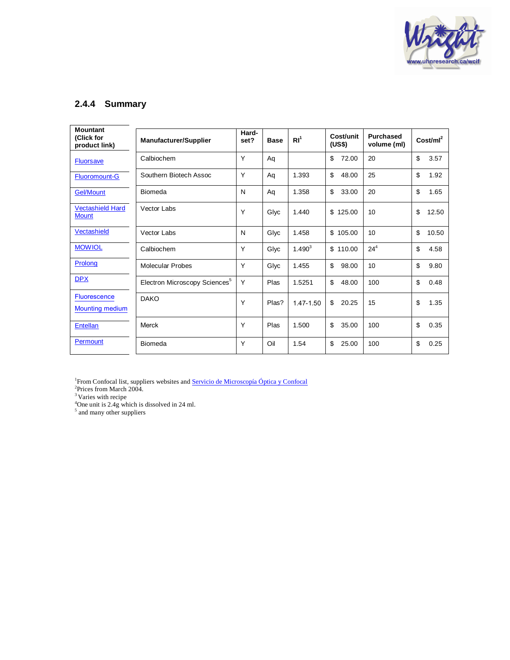

## **2.4.4 Summary**

| <b>Mountant</b><br>(Click for<br>product link) | <b>Manufacturer/Supplier</b>              | Hard-<br>set? | <b>Base</b> | RI <sup>1</sup> | Cost/unit<br>(US\$) | <b>Purchased</b><br>volume (ml) | Cost/ml <sup>2</sup> |
|------------------------------------------------|-------------------------------------------|---------------|-------------|-----------------|---------------------|---------------------------------|----------------------|
| <b>Fluorsave</b>                               | Calbiochem                                | Y             | Aq          |                 | \$<br>72.00         | 20                              | \$<br>3.57           |
| <b>Fluoromount-G</b>                           | Southern Biotech Assoc                    | Y             | Aq          | 1.393           | \$<br>48.00         | 25                              | \$<br>1.92           |
| <b>Gel/Mount</b>                               | Biomeda                                   | N             | Aq          | 1.358           | \$<br>33.00         | 20                              | \$<br>1.65           |
| <b>Vectashield Hard</b><br><b>Mount</b>        | Vector Labs                               | Υ             | Glyc        | 1.440           | \$<br>125.00        | 10                              | \$<br>12.50          |
| Vectashield                                    | Vector Labs                               | N             | Glyc        | 1.458           | \$105.00            | 10                              | \$<br>10.50          |
| <b>MOWIOL</b>                                  | Calbiochem                                | Y             | Glyc        | $1.490^{3}$     | \$110.00            | $24^{4}$                        | \$<br>4.58           |
| Prolong                                        | <b>Molecular Probes</b>                   | Y             | Glyc        | 1.455           | \$<br>98.00         | 10                              | \$<br>9.80           |
| <b>DPX</b>                                     | Electron Microscopy Sciences <sup>5</sup> | Y             | Plas        | 1.5251          | \$<br>48.00         | 100                             | \$<br>0.48           |
| <b>Fluorescence</b><br><b>Mounting medium</b>  | <b>DAKO</b>                               | Υ             | Plas?       | 1.47-1.50       | \$<br>20.25         | 15                              | \$<br>1.35           |
| <b>Entellan</b>                                | Merck                                     | Υ             | Plas        | 1.500           | \$<br>35.00         | 100                             | \$<br>0.35           |
| Permount                                       | Biomeda                                   | Y             | Oil         | 1.54            | \$<br>25.00         | 100                             | \$<br>0.25           |

<sup>1</sup>From Confocal list, suppliers websites and <u>[Servicio de Microscopía Óptica y Confocal](http://www2.cbm.uam.es/confocal/Ingles/default_english.htm)</u><br><sup>2</sup>Prices from March 2004.<br><sup>3</sup> Varies with recipe

 $^{4}$ One unit is 2.4g which is dissolved in 24 ml.<br>
<sup>5</sup> and many other suppliers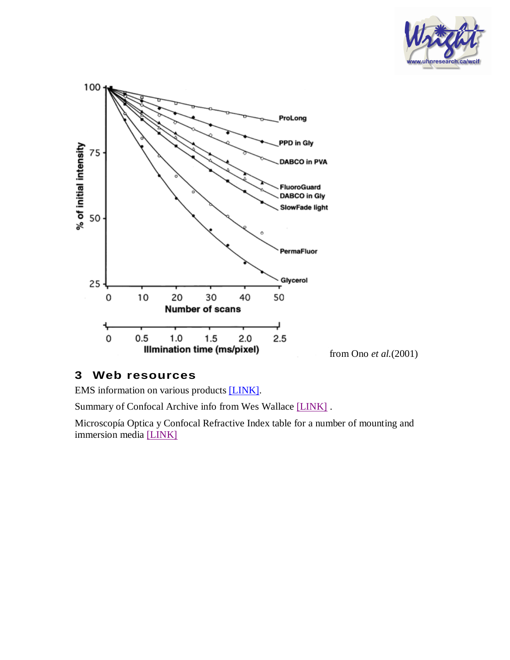



#### **3 Web resources**

EMS information on various products [\[LINK\]](http://www.emsdiasum.com/microscopy/products/histology/mounting_media.aspx).

Summary of Confocal Archive info from Wes Wallace [\[LINK\]](http://listserv.buffalo.edu/cgi-bin/wa?A2=ind0107&L=confocal&P=R314&I=-3) .

Microscopía Optica y Confocal Refractive Index table for a number of mounting and immersion media [\[LINK\]](http://www2.cbm.uam.es/confocal/Manuales/Indices refraccion web.pdf)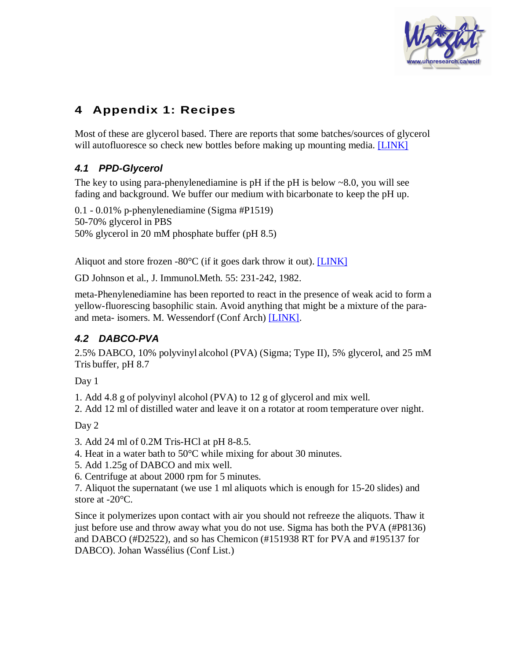

# **4 Appendix 1: Recipes**

Most of these are glycerol based. There are reports that some batches/sources of glycerol will autofluoresce so check new bottles before making up mounting media. [\[LINK\]](http://listserv.buffalo.edu/cgi-bin/wa?A2=ind9912&L=confocal&P=R5838&I=-3)

# **4.1 PPD-Glycerol**

The key to using para-phenylenediamine is pH if the pH is below  $\sim 8.0$ , you will see fading and background. We buffer our medium with bicarbonate to keep the pH up.

0.1 - 0.01% p-phenylenediamine (Sigma #P1519) 50-70% glycerol in PBS 50% glycerol in 20 mM phosphate buffer (pH 8.5)

Aliquot and store frozen  $-80^{\circ}$ C (if it goes dark throw it out). [\[LINK\]](http://listserv.buffalo.edu/cgi-bin/wa?A2=ind9308&L=confocal&P=R402&I=-3)

GD Johnson et al., J. Immunol.Meth. 55: 231-242, 1982.

meta-Phenylenediamine has been reported to react in the presence of weak acid to form a yellow-fluorescing basophilic stain. Avoid anything that might be a mixture of the paraand meta- isomers. M. Wessendorf (Conf Arch) [\[LINK\]](http://listserv.buffalo.edu/cgi-bin/wa?A2=ind9302&L=confocal&P=R337&I=-3).

# **4.2 DABCO-PVA**

2.5% DABCO, 10% polyvinyl alcohol (PVA) (Sigma; Type II), 5% glycerol, and 25 mM Tris buffer, pH 8.7

Day 1

1. Add 4.8 g of polyvinyl alcohol (PVA) to 12 g of glycerol and mix well.

2. Add 12 ml of distilled water and leave it on a rotator at room temperature over night.

Day 2

3. Add 24 ml of 0.2M Tris-HCl at pH 8-8.5.

4. Heat in a water bath to 50°C while mixing for about 30 minutes.

5. Add 1.25g of DABCO and mix well.

6. Centrifuge at about 2000 rpm for 5 minutes.

7. Aliquot the supernatant (we use 1 ml aliquots which is enough for 15-20 slides) and store at -20°C.

Since it polymerizes upon contact with air you should not refreeze the aliquots. Thaw it just before use and throw away what you do not use. Sigma has both the PVA (#P8136) and DABCO (#D2522), and so has Chemicon (#151938 RT for PVA and #195137 for DABCO). Johan Wassélius (Conf List.)